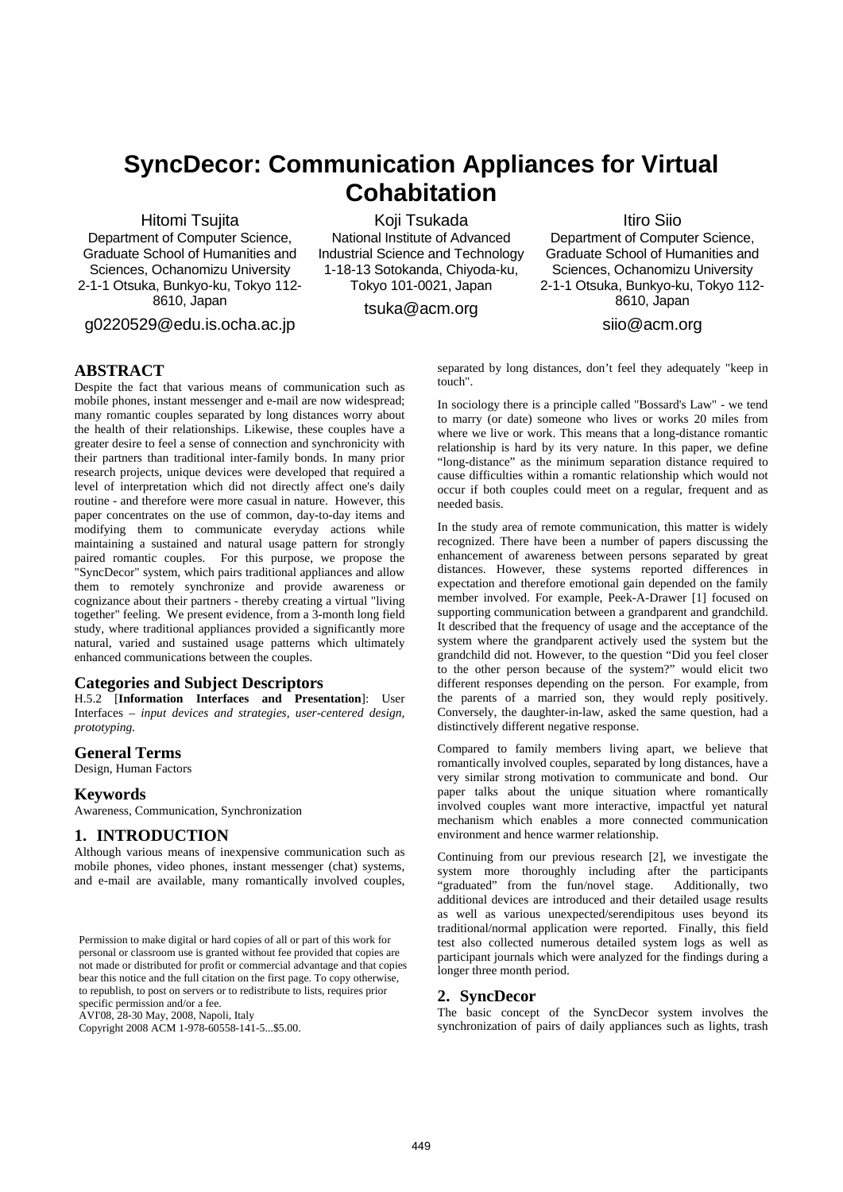# **SyncDecor: Communication Appliances for Virtual Cohabitation**

Hitomi Tsujita

Department of Computer Science, Graduate School of Humanities and Sciences, Ochanomizu University 2-1-1 Otsuka, Bunkyo-ku, Tokyo 112- 8610, Japan

Koji Tsukada National Institute of Advanced Industrial Science and Technology 1-18-13 Sotokanda, Chiyoda-ku, Tokyo 101-0021, Japan

tsuka@acm.org

Itiro Siio

Department of Computer Science, Graduate School of Humanities and Sciences, Ochanomizu University 2-1-1 Otsuka, Bunkyo-ku, Tokyo 112- 8610, Japan

siio@acm.org

# g0220529@edu.is.ocha.ac.jp

# **ABSTRACT**

Despite the fact that various means of communication such as mobile phones, instant messenger and e-mail are now widespread; many romantic couples separated by long distances worry about the health of their relationships. Likewise, these couples have a greater desire to feel a sense of connection and synchronicity with their partners than traditional inter-family bonds. In many prior research projects, unique devices were developed that required a level of interpretation which did not directly affect one's daily routine - and therefore were more casual in nature. However, this paper concentrates on the use of common, day-to-day items and modifying them to communicate everyday actions while maintaining a sustained and natural usage pattern for strongly paired romantic couples. For this purpose, we propose the "SyncDecor" system, which pairs traditional appliances and allow them to remotely synchronize and provide awareness or cognizance about their partners - thereby creating a virtual "living together" feeling. We present evidence, from a 3-month long field study, where traditional appliances provided a significantly more natural, varied and sustained usage patterns which ultimately enhanced communications between the couples.

# **Categories and Subject Descriptors**

H.5.2 [**Information Interfaces and Presentation**]: User Interfaces – *input devices and strategies, user-centered design, prototyping.* 

# **General Terms**

Design, Human Factors

# **Keywords**

Awareness, Communication, Synchronization

## **1. INTRODUCTION**

Although various means of inexpensive communication such as mobile phones, video phones, instant messenger (chat) systems, and e-mail are available, many romantically involved couples,

Permission to make digital or hard copies of all or part of this work for personal or classroom use is granted without fee provided that copies are not made or distributed for profit or commercial advantage and that copies bear this notice and the full citation on the first page. To copy otherwise, to republish, to post on servers or to redistribute to lists, requires prior specific permission and/or a fee.

AVI'08, 28-30 May, 2008, Napoli, Italy

Copyright 2008 ACM 1-978-60558-141-5...\$5.00.

separated by long distances, don't feel they adequately "keep in touch".

In sociology there is a principle called "Bossard's Law" - we tend to marry (or date) someone who lives or works 20 miles from where we live or work. This means that a long-distance romantic relationship is hard by its very nature. In this paper, we define "long-distance" as the minimum separation distance required to cause difficulties within a romantic relationship which would not occur if both couples could meet on a regular, frequent and as needed basis.

In the study area of remote communication, this matter is widely recognized. There have been a number of papers discussing the enhancement of awareness between persons separated by great distances. However, these systems reported differences in expectation and therefore emotional gain depended on the family member involved. For example, Peek-A-Drawer [1] focused on supporting communication between a grandparent and grandchild. It described that the frequency of usage and the acceptance of the system where the grandparent actively used the system but the grandchild did not. However, to the question "Did you feel closer to the other person because of the system?" would elicit two different responses depending on the person. For example, from the parents of a married son, they would reply positively. Conversely, the daughter-in-law, asked the same question, had a distinctively different negative response.

Compared to family members living apart, we believe that romantically involved couples, separated by long distances, have a very similar strong motivation to communicate and bond. Our paper talks about the unique situation where romantically involved couples want more interactive, impactful yet natural mechanism which enables a more connected communication environment and hence warmer relationship.

Continuing from our previous research [2], we investigate the system more thoroughly including after the participants "graduated" from the fun/novel stage. Additionally, two additional devices are introduced and their detailed usage results as well as various unexpected/serendipitous uses beyond its traditional/normal application were reported. Finally, this field test also collected numerous detailed system logs as well as participant journals which were analyzed for the findings during a longer three month period.

# **2. SyncDecor**

The basic concept of the SyncDecor system involves the synchronization of pairs of daily appliances such as lights, trash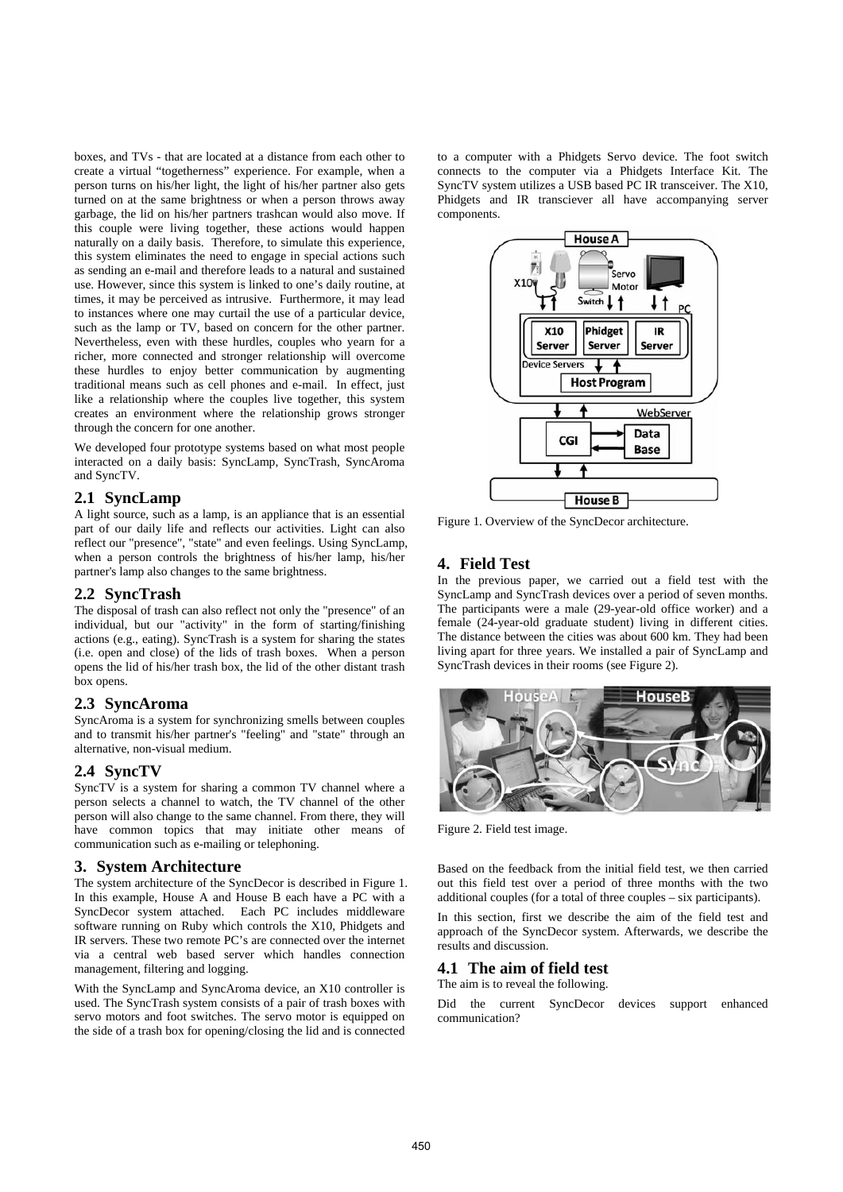boxes, and TVs - that are located at a distance from each other to create a virtual "togetherness" experience. For example, when a person turns on his/her light, the light of his/her partner also gets turned on at the same brightness or when a person throws away garbage, the lid on his/her partners trashcan would also move. If this couple were living together, these actions would happen naturally on a daily basis. Therefore, to simulate this experience, this system eliminates the need to engage in special actions such as sending an e-mail and therefore leads to a natural and sustained use. However, since this system is linked to one's daily routine, at times, it may be perceived as intrusive. Furthermore, it may lead to instances where one may curtail the use of a particular device, such as the lamp or TV, based on concern for the other partner. Nevertheless, even with these hurdles, couples who yearn for a richer, more connected and stronger relationship will overcome these hurdles to enjoy better communication by augmenting traditional means such as cell phones and e-mail. In effect, just like a relationship where the couples live together, this system creates an environment where the relationship grows stronger through the concern for one another.

We developed four prototype systems based on what most people interacted on a daily basis: SyncLamp, SyncTrash, SyncAroma and SyncTV.

## **2.1 SyncLamp**

A light source, such as a lamp, is an appliance that is an essential part of our daily life and reflects our activities. Light can also reflect our "presence", "state" and even feelings. Using SyncLamp, when a person controls the brightness of his/her lamp, his/her partner's lamp also changes to the same brightness.

### **2.2 SyncTrash**

The disposal of trash can also reflect not only the "presence" of an individual, but our "activity" in the form of starting/finishing actions (e.g., eating). SyncTrash is a system for sharing the states (i.e. open and close) of the lids of trash boxes. When a person opens the lid of his/her trash box, the lid of the other distant trash box opens.

## **2.3 SyncAroma**

SyncAroma is a system for synchronizing smells between couples and to transmit his/her partner's "feeling" and "state" through an alternative, non-visual medium.

## **2.4 SyncTV**

SyncTV is a system for sharing a common TV channel where a person selects a channel to watch, the TV channel of the other person will also change to the same channel. From there, they will have common topics that may initiate other means of communication such as e-mailing or telephoning.

#### **3. System Architecture**

The system architecture of the SyncDecor is described in Figure 1. In this example, House A and House B each have a PC with a SyncDecor system attached. Each PC includes middleware software running on Ruby which controls the X10, Phidgets and IR servers. These two remote PC's are connected over the internet via a central web based server which handles connection management, filtering and logging.

With the SyncLamp and SyncAroma device, an X10 controller is used. The SyncTrash system consists of a pair of trash boxes with servo motors and foot switches. The servo motor is equipped on the side of a trash box for opening/closing the lid and is connected

to a computer with a Phidgets Servo device. The foot switch connects to the computer via a Phidgets Interface Kit. The SyncTV system utilizes a USB based PC IR transceiver. The X10, Phidgets and IR transciever all have accompanying server components.



Figure 1. Overview of the SyncDecor architecture.

# **4. Field Test**

In the previous paper, we carried out a field test with the SyncLamp and SyncTrash devices over a period of seven months. The participants were a male (29-year-old office worker) and a female (24-year-old graduate student) living in different cities. The distance between the cities was about 600 km. They had been living apart for three years. We installed a pair of SyncLamp and SyncTrash devices in their rooms (see Figure 2).



Figure 2. Field test image.

Based on the feedback from the initial field test, we then carried out this field test over a period of three months with the two additional couples (for a total of three couples – six participants).

In this section, first we describe the aim of the field test and approach of the SyncDecor system. Afterwards, we describe the results and discussion.

# **4.1 The aim of field test**

The aim is to reveal the following.

Did the current SyncDecor devices support enhanced communication?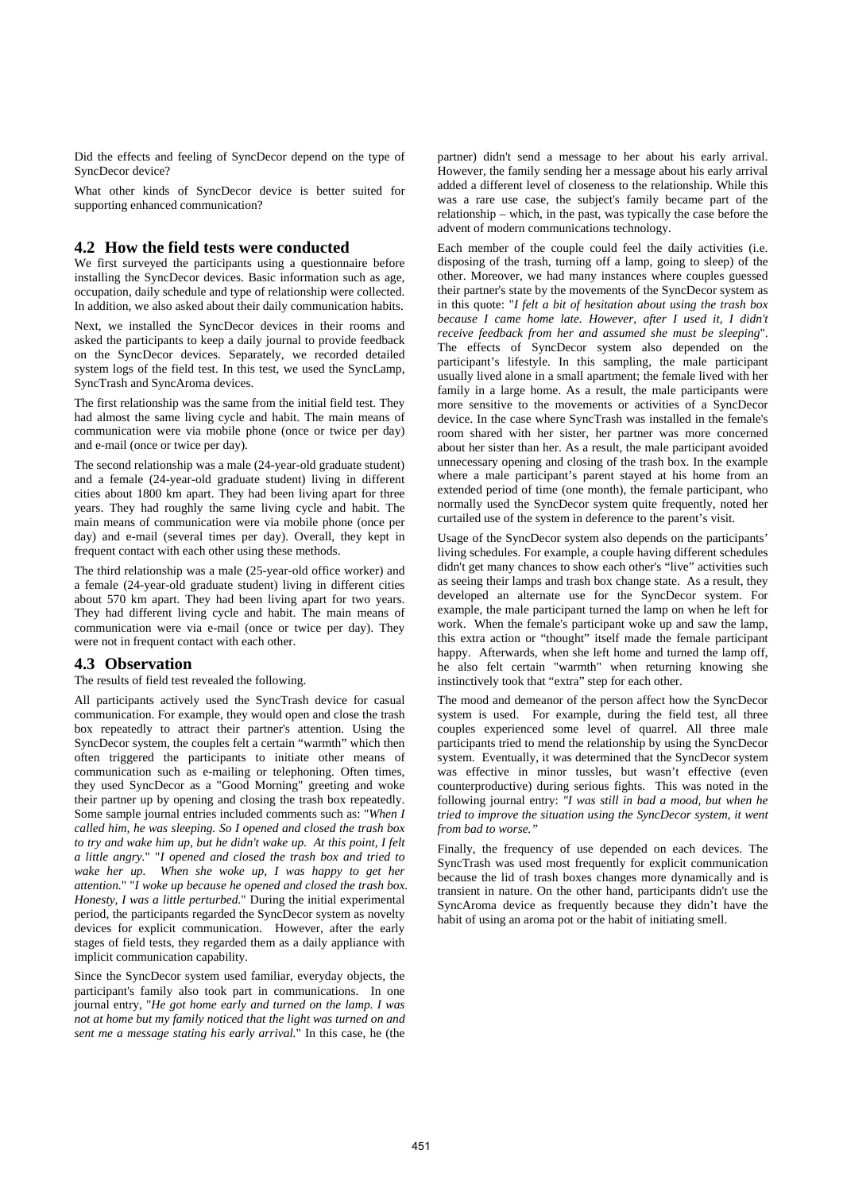Did the effects and feeling of SyncDecor depend on the type of SyncDecor device?

What other kinds of SyncDecor device is better suited for supporting enhanced communication?

## **4.2 How the field tests were conducted**

We first surveyed the participants using a questionnaire before installing the SyncDecor devices. Basic information such as age, occupation, daily schedule and type of relationship were collected. In addition, we also asked about their daily communication habits.

Next, we installed the SyncDecor devices in their rooms and asked the participants to keep a daily journal to provide feedback on the SyncDecor devices. Separately, we recorded detailed system logs of the field test. In this test, we used the SyncLamp, SyncTrash and SyncAroma devices.

The first relationship was the same from the initial field test. They had almost the same living cycle and habit. The main means of communication were via mobile phone (once or twice per day) and e-mail (once or twice per day).

The second relationship was a male (24-year-old graduate student) and a female (24-year-old graduate student) living in different cities about 1800 km apart. They had been living apart for three years. They had roughly the same living cycle and habit. The main means of communication were via mobile phone (once per day) and e-mail (several times per day). Overall, they kept in frequent contact with each other using these methods.

The third relationship was a male (25-year-old office worker) and a female (24-year-old graduate student) living in different cities about 570 km apart. They had been living apart for two years. They had different living cycle and habit. The main means of communication were via e-mail (once or twice per day). They were not in frequent contact with each other.

#### **4.3 Observation**

The results of field test revealed the following.

All participants actively used the SyncTrash device for casual communication. For example, they would open and close the trash box repeatedly to attract their partner's attention. Using the SyncDecor system, the couples felt a certain "warmth" which then often triggered the participants to initiate other means of communication such as e-mailing or telephoning. Often times, they used SyncDecor as a "Good Morning" greeting and woke their partner up by opening and closing the trash box repeatedly. Some sample journal entries included comments such as: "*When I called him, he was sleeping. So I opened and closed the trash box to try and wake him up, but he didn't wake up. At this point, I felt a little angry.*" "*I opened and closed the trash box and tried to wake her up. When she woke up, I was happy to get her attention.*" "*I woke up because he opened and closed the trash box. Honesty, I was a little perturbed.*" During the initial experimental period, the participants regarded the SyncDecor system as novelty devices for explicit communication. However, after the early stages of field tests, they regarded them as a daily appliance with implicit communication capability.

Since the SyncDecor system used familiar, everyday objects, the participant's family also took part in communications. In one journal entry, "*He got home early and turned on the lamp. I was not at home but my family noticed that the light was turned on and sent me a message stating his early arrival.*" In this case, he (the

partner) didn't send a message to her about his early arrival. However, the family sending her a message about his early arrival added a different level of closeness to the relationship. While this was a rare use case, the subject's family became part of the relationship – which, in the past, was typically the case before the advent of modern communications technology.

Each member of the couple could feel the daily activities (i.e. disposing of the trash, turning off a lamp, going to sleep) of the other. Moreover, we had many instances where couples guessed their partner's state by the movements of the SyncDecor system as in this quote: "*I felt a bit of hesitation about using the trash box because I came home late. However, after I used it, I didn't receive feedback from her and assumed she must be sleeping*". The effects of SyncDecor system also depended on the participant's lifestyle. In this sampling, the male participant usually lived alone in a small apartment; the female lived with her family in a large home. As a result, the male participants were more sensitive to the movements or activities of a SyncDecor device. In the case where SyncTrash was installed in the female's room shared with her sister, her partner was more concerned about her sister than her. As a result, the male participant avoided unnecessary opening and closing of the trash box. In the example where a male participant's parent stayed at his home from an extended period of time (one month), the female participant, who normally used the SyncDecor system quite frequently, noted her curtailed use of the system in deference to the parent's visit.

Usage of the SyncDecor system also depends on the participants' living schedules. For example, a couple having different schedules didn't get many chances to show each other's "live" activities such as seeing their lamps and trash box change state. As a result, they developed an alternate use for the SyncDecor system. For example, the male participant turned the lamp on when he left for work. When the female's participant woke up and saw the lamp, this extra action or "thought" itself made the female participant happy. Afterwards, when she left home and turned the lamp off, he also felt certain "warmth" when returning knowing she instinctively took that "extra" step for each other.

The mood and demeanor of the person affect how the SyncDecor system is used. For example, during the field test, all three couples experienced some level of quarrel. All three male participants tried to mend the relationship by using the SyncDecor system. Eventually, it was determined that the SyncDecor system was effective in minor tussles, but wasn't effective (even counterproductive) during serious fights. This was noted in the following journal entry: *"I was still in bad a mood, but when he tried to improve the situation using the SyncDecor system, it went from bad to worse."*

Finally, the frequency of use depended on each devices. The SyncTrash was used most frequently for explicit communication because the lid of trash boxes changes more dynamically and is transient in nature. On the other hand, participants didn't use the SyncAroma device as frequently because they didn't have the habit of using an aroma pot or the habit of initiating smell.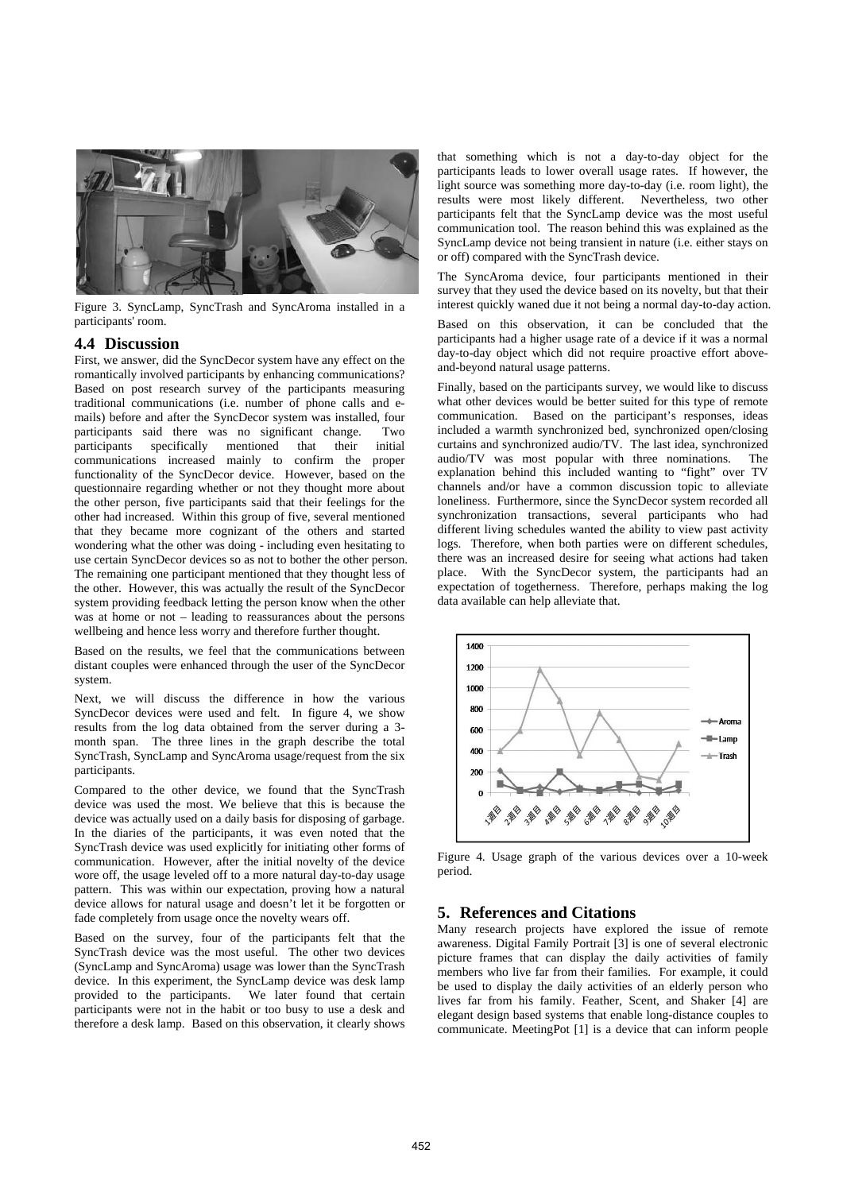

Figure 3. SyncLamp, SyncTrash and SyncAroma installed in a participants' room.

#### **4.4 Discussion**

First, we answer, did the SyncDecor system have any effect on the romantically involved participants by enhancing communications? Based on post research survey of the participants measuring traditional communications (i.e. number of phone calls and emails) before and after the SyncDecor system was installed, four participants said there was no significant change. Two participants specifically mentioned that their initial communications increased mainly to confirm the proper functionality of the SyncDecor device. However, based on the questionnaire regarding whether or not they thought more about the other person, five participants said that their feelings for the other had increased. Within this group of five, several mentioned that they became more cognizant of the others and started wondering what the other was doing - including even hesitating to use certain SyncDecor devices so as not to bother the other person. The remaining one participant mentioned that they thought less of the other. However, this was actually the result of the SyncDecor system providing feedback letting the person know when the other was at home or not – leading to reassurances about the persons wellbeing and hence less worry and therefore further thought.

Based on the results, we feel that the communications between distant couples were enhanced through the user of the SyncDecor system.

Next, we will discuss the difference in how the various SyncDecor devices were used and felt. In figure 4, we show results from the log data obtained from the server during a 3 month span. The three lines in the graph describe the total SyncTrash, SyncLamp and SyncAroma usage/request from the six participants.

Compared to the other device, we found that the SyncTrash device was used the most. We believe that this is because the device was actually used on a daily basis for disposing of garbage. In the diaries of the participants, it was even noted that the SyncTrash device was used explicitly for initiating other forms of communication. However, after the initial novelty of the device wore off, the usage leveled off to a more natural day-to-day usage pattern. This was within our expectation, proving how a natural device allows for natural usage and doesn't let it be forgotten or fade completely from usage once the novelty wears off.

Based on the survey, four of the participants felt that the SyncTrash device was the most useful. The other two devices (SyncLamp and SyncAroma) usage was lower than the SyncTrash device. In this experiment, the SyncLamp device was desk lamp provided to the participants. We later found that certain participants were not in the habit or too busy to use a desk and therefore a desk lamp. Based on this observation, it clearly shows

that something which is not a day-to-day object for the participants leads to lower overall usage rates. If however, the light source was something more day-to-day (i.e. room light), the results were most likely different. Nevertheless, two other participants felt that the SyncLamp device was the most useful communication tool. The reason behind this was explained as the SyncLamp device not being transient in nature (i.e. either stays on or off) compared with the SyncTrash device.

The SyncAroma device, four participants mentioned in their survey that they used the device based on its novelty, but that their interest quickly waned due it not being a normal day-to-day action.

Based on this observation, it can be concluded that the participants had a higher usage rate of a device if it was a normal day-to-day object which did not require proactive effort aboveand-beyond natural usage patterns.

Finally, based on the participants survey, we would like to discuss what other devices would be better suited for this type of remote communication. Based on the participant's responses, ideas included a warmth synchronized bed, synchronized open/closing curtains and synchronized audio/TV. The last idea, synchronized audio/TV was most popular with three nominations. The explanation behind this included wanting to "fight" over TV channels and/or have a common discussion topic to alleviate loneliness. Furthermore, since the SyncDecor system recorded all synchronization transactions, several participants who had different living schedules wanted the ability to view past activity logs. Therefore, when both parties were on different schedules, there was an increased desire for seeing what actions had taken place. With the SyncDecor system, the participants had an expectation of togetherness. Therefore, perhaps making the log data available can help alleviate that.



Figure 4. Usage graph of the various devices over a 10-week period.

#### **5. References and Citations**

Many research projects have explored the issue of remote awareness. Digital Family Portrait [3] is one of several electronic picture frames that can display the daily activities of family members who live far from their families. For example, it could be used to display the daily activities of an elderly person who lives far from his family. Feather, Scent, and Shaker [4] are elegant design based systems that enable long-distance couples to communicate. MeetingPot [1] is a device that can inform people